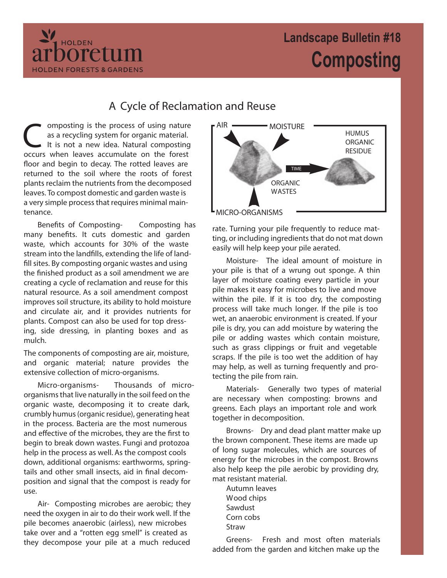## **Landscape Bulletin #18 Composting**



Composting is the process of using nature<br>as a recycling system for organic material.<br>It is not a new idea. Natural composting<br>occurs when leaves accumulate on the forest omposting is the process of using nature as a recycling system for organic material. It is not a new idea. Natural composting floor and begin to decay. The rotted leaves are returned to the soil where the roots of forest plants reclaim the nutrients from the decomposed leaves. To compost domestic and garden waste is a very simple process that requires minimal maintenance.

HOLDEN

**HOLDEN FORESTS & GARDENS** 

poretum

**Benefits of Composting-** Composting has many benefits. It cuts domestic and garden waste, which accounts for 30% of the waste stream into the landfills, extending the life of landfill sites. By composting organic wastes and using the finished product as a soil amendment we are creating a cycle of reclamation and reuse for this natural resource. As a soil amendment compost improves soil structure, its ability to hold moisture and circulate air, and it provides nutrients for plants. Compost can also be used for top dressing, side dressing, in planting boxes and as mulch.

The components of composting are air, moisture, and organic material; nature provides the extensive collection of micro-organisms.

**Micro-organisms-** Thousands of microorganisms that live naturally in the soil feed on the organic waste, decomposing it to create dark, crumbly humus (organic residue), generating heat in the process. Bacteria are the most numerous and effective of the microbes, they are the first to begin to break down wastes. Fungi and protozoa help in the process as well. As the compost cools down, additional organisms: earthworms, springtails and other small insects, aid in final decomposition and signal that the compost is ready for use.

**Air-** Composting microbes are aerobic; they need the oxygen in air to do their work well. If the pile becomes anaerobic (airless), new microbes take over and a "rotten egg smell" is created as they decompose your pile at a much reduced



rate. Turning your pile frequently to reduce matting, or including ingredients that do not mat down easily will help keep your pile aerated.

**Moisture-** The ideal amount of moisture in your pile is that of a wrung out sponge. A thin layer of moisture coating every particle in your pile makes it easy for microbes to live and move within the pile. If it is too dry, the composting process will take much longer. If the pile is too wet, an anaerobic environment is created. If your pile is dry, you can add moisture by watering the pile or adding wastes which contain moisture, such as grass clippings or fruit and vegetable scraps. If the pile is too wet the addition of hay may help, as well as turning frequently and protecting the pile from rain.

**Materials-** Generally two types of material are necessary when composting: browns and greens. Each plays an important role and work together in decomposition.

**Browns-** Dry and dead plant matter make up the brown component. These items are made up of long sugar molecules, which are sources of energy for the microbes in the compost. Browns also help keep the pile aerobic by providing dry, mat resistant material.

Autumn leaves Wood chips Sawdust Corn cobs Straw

**Greens-** Fresh and most often materials added from the garden and kitchen make up the